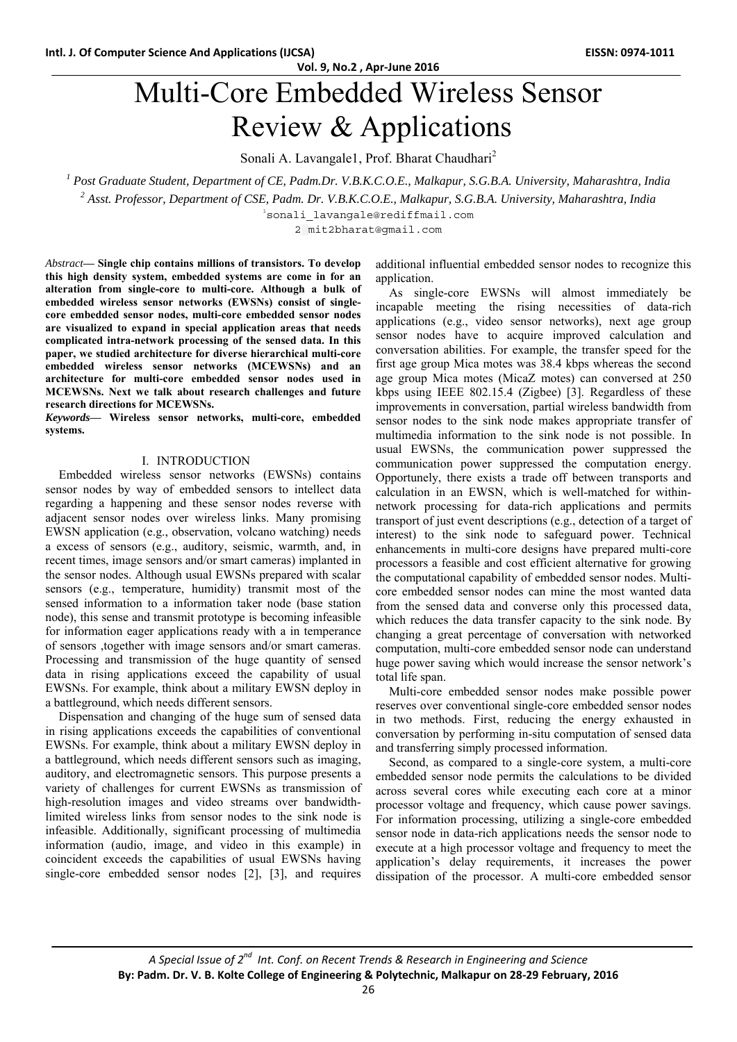# **Vol. 9, No.2 , Apr‐June 2016** Multi-Core Embedded Wireless Sensor

Review & Applications

Sonali A. Lavangale1, Prof. Bharat Chaudhari<sup>2</sup>

<sup>1</sup> Post Graduate Student, Department of CE, Padm.Dr. V.B.K.C.O.E., Malkapur, S.G.B.A. University, Maharashtra, India

*2 Asst. Professor, Department of CSE, Padm. Dr. V.B.K.C.O.E., Malkapur, S.G.B.A. University, Maharashtra, India* 

1 sonali\_lavangale@rediffmail.com

2 mit2bharat@gmail.com

*Abstract***— Single chip contains millions of transistors. To develop this high density system, embedded systems are come in for an alteration from single-core to multi-core. Although a bulk of embedded wireless sensor networks (EWSNs) consist of singlecore embedded sensor nodes, multi-core embedded sensor nodes are visualized to expand in special application areas that needs complicated intra-network processing of the sensed data. In this paper, we studied architecture for diverse hierarchical multi-core embedded wireless sensor networks (MCEWSNs) and an architecture for multi-core embedded sensor nodes used in MCEWSNs. Next we talk about research challenges and future research directions for MCEWSNs.** 

*Keywords***— Wireless sensor networks, multi-core, embedded systems.** 

## I. INTRODUCTION

Embedded wireless sensor networks (EWSNs) contains sensor nodes by way of embedded sensors to intellect data regarding a happening and these sensor nodes reverse with adjacent sensor nodes over wireless links. Many promising EWSN application (e.g., observation, volcano watching) needs a excess of sensors (e.g., auditory, seismic, warmth, and, in recent times, image sensors and/or smart cameras) implanted in the sensor nodes. Although usual EWSNs prepared with scalar sensors (e.g., temperature, humidity) transmit most of the sensed information to a information taker node (base station node), this sense and transmit prototype is becoming infeasible for information eager applications ready with a in temperance of sensors ,together with image sensors and/or smart cameras. Processing and transmission of the huge quantity of sensed data in rising applications exceed the capability of usual EWSNs. For example, think about a military EWSN deploy in a battleground, which needs different sensors.

Dispensation and changing of the huge sum of sensed data in rising applications exceeds the capabilities of conventional EWSNs. For example, think about a military EWSN deploy in a battleground, which needs different sensors such as imaging, auditory, and electromagnetic sensors. This purpose presents a variety of challenges for current EWSNs as transmission of high-resolution images and video streams over bandwidthlimited wireless links from sensor nodes to the sink node is infeasible. Additionally, significant processing of multimedia information (audio, image, and video in this example) in coincident exceeds the capabilities of usual EWSNs having single-core embedded sensor nodes [2], [3], and requires additional influential embedded sensor nodes to recognize this application.

As single-core EWSNs will almost immediately be incapable meeting the rising necessities of data-rich applications (e.g., video sensor networks), next age group sensor nodes have to acquire improved calculation and conversation abilities. For example, the transfer speed for the first age group Mica motes was 38.4 kbps whereas the second age group Mica motes (MicaZ motes) can conversed at 250 kbps using IEEE 802.15.4 (Zigbee) [3]. Regardless of these improvements in conversation, partial wireless bandwidth from sensor nodes to the sink node makes appropriate transfer of multimedia information to the sink node is not possible. In usual EWSNs, the communication power suppressed the communication power suppressed the computation energy. Opportunely, there exists a trade off between transports and calculation in an EWSN, which is well-matched for withinnetwork processing for data-rich applications and permits transport of just event descriptions (e.g., detection of a target of interest) to the sink node to safeguard power. Technical enhancements in multi-core designs have prepared multi-core processors a feasible and cost efficient alternative for growing the computational capability of embedded sensor nodes. Multicore embedded sensor nodes can mine the most wanted data from the sensed data and converse only this processed data, which reduces the data transfer capacity to the sink node. By changing a great percentage of conversation with networked computation, multi-core embedded sensor node can understand huge power saving which would increase the sensor network's total life span.

Multi-core embedded sensor nodes make possible power reserves over conventional single-core embedded sensor nodes in two methods. First, reducing the energy exhausted in conversation by performing in-situ computation of sensed data and transferring simply processed information.

Second, as compared to a single-core system, a multi-core embedded sensor node permits the calculations to be divided across several cores while executing each core at a minor processor voltage and frequency, which cause power savings. For information processing, utilizing a single-core embedded sensor node in data-rich applications needs the sensor node to execute at a high processor voltage and frequency to meet the application's delay requirements, it increases the power dissipation of the processor. A multi-core embedded sensor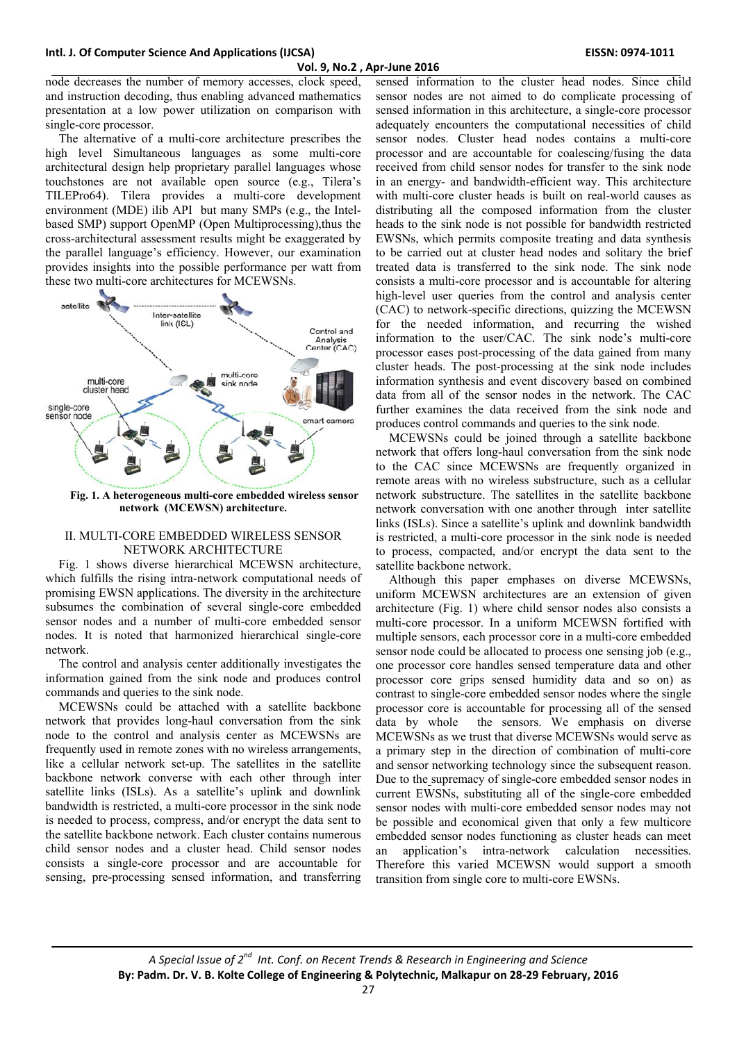## **Vol. 9, No.2 , Apr‐June 2016**

node decreases the number of memory accesses, clock speed, and instruction decoding, thus enabling advanced mathematics presentation at a low power utilization on comparison with single-core processor.

The alternative of a multi-core architecture prescribes the high level Simultaneous languages as some multi-core architectural design help proprietary parallel languages whose touchstones are not available open source (e.g., Tilera's TILEPro64). Tilera provides a multi-core development environment (MDE) ilib API but many SMPs (e.g., the Intelbased SMP) support OpenMP (Open Multiprocessing),thus the cross-architectural assessment results might be exaggerated by the parallel language's efficiency. However, our examination provides insights into the possible performance per watt from these two multi-core architectures for MCEWSNs.



**Fig. 1. A heterogeneous multi-core embedded wireless sensor network (MCEWSN) architecture.** 

## II. MULTI-CORE EMBEDDED WIRELESS SENSOR NETWORK ARCHITECTURE

Fig. 1 shows diverse hierarchical MCEWSN architecture, which fulfills the rising intra-network computational needs of promising EWSN applications. The diversity in the architecture subsumes the combination of several single-core embedded sensor nodes and a number of multi-core embedded sensor nodes. It is noted that harmonized hierarchical single-core network.

The control and analysis center additionally investigates the information gained from the sink node and produces control commands and queries to the sink node.

MCEWSNs could be attached with a satellite backbone network that provides long-haul conversation from the sink node to the control and analysis center as MCEWSNs are frequently used in remote zones with no wireless arrangements, like a cellular network set-up. The satellites in the satellite backbone network converse with each other through inter satellite links (ISLs). As a satellite's uplink and downlink bandwidth is restricted, a multi-core processor in the sink node is needed to process, compress, and/or encrypt the data sent to the satellite backbone network. Each cluster contains numerous child sensor nodes and a cluster head. Child sensor nodes consists a single-core processor and are accountable for sensing, pre-processing sensed information, and transferring

sensed information to the cluster head nodes. Since child sensor nodes are not aimed to do complicate processing of sensed information in this architecture, a single-core processor adequately encounters the computational necessities of child sensor nodes. Cluster head nodes contains a multi-core processor and are accountable for coalescing/fusing the data received from child sensor nodes for transfer to the sink node in an energy- and bandwidth-efficient way. This architecture with multi-core cluster heads is built on real-world causes as distributing all the composed information from the cluster heads to the sink node is not possible for bandwidth restricted EWSNs, which permits composite treating and data synthesis to be carried out at cluster head nodes and solitary the brief treated data is transferred to the sink node. The sink node consists a multi-core processor and is accountable for altering high-level user queries from the control and analysis center (CAC) to network-specific directions, quizzing the MCEWSN for the needed information, and recurring the wished information to the user/CAC. The sink node's multi-core processor eases post-processing of the data gained from many cluster heads. The post-processing at the sink node includes information synthesis and event discovery based on combined data from all of the sensor nodes in the network. The CAC further examines the data received from the sink node and produces control commands and queries to the sink node.

MCEWSNs could be joined through a satellite backbone network that offers long-haul conversation from the sink node to the CAC since MCEWSNs are frequently organized in remote areas with no wireless substructure, such as a cellular network substructure. The satellites in the satellite backbone network conversation with one another through inter satellite links (ISLs). Since a satellite's uplink and downlink bandwidth is restricted, a multi-core processor in the sink node is needed to process, compacted, and/or encrypt the data sent to the satellite backbone network.

Although this paper emphases on diverse MCEWSNs, uniform MCEWSN architectures are an extension of given architecture (Fig. 1) where child sensor nodes also consists a multi-core processor. In a uniform MCEWSN fortified with multiple sensors, each processor core in a multi-core embedded sensor node could be allocated to process one sensing job (e.g., one processor core handles sensed temperature data and other processor core grips sensed humidity data and so on) as contrast to single-core embedded sensor nodes where the single processor core is accountable for processing all of the sensed data by whole the sensors. We emphasis on diverse MCEWSNs as we trust that diverse MCEWSNs would serve as a primary step in the direction of combination of multi-core and sensor networking technology since the subsequent reason. Due to the supremacy of single-core embedded sensor nodes in current EWSNs, substituting all of the single-core embedded sensor nodes with multi-core embedded sensor nodes may not be possible and economical given that only a few multicore embedded sensor nodes functioning as cluster heads can meet an application's intra-network calculation necessities. Therefore this varied MCEWSN would support a smooth transition from single core to multi-core EWSNs.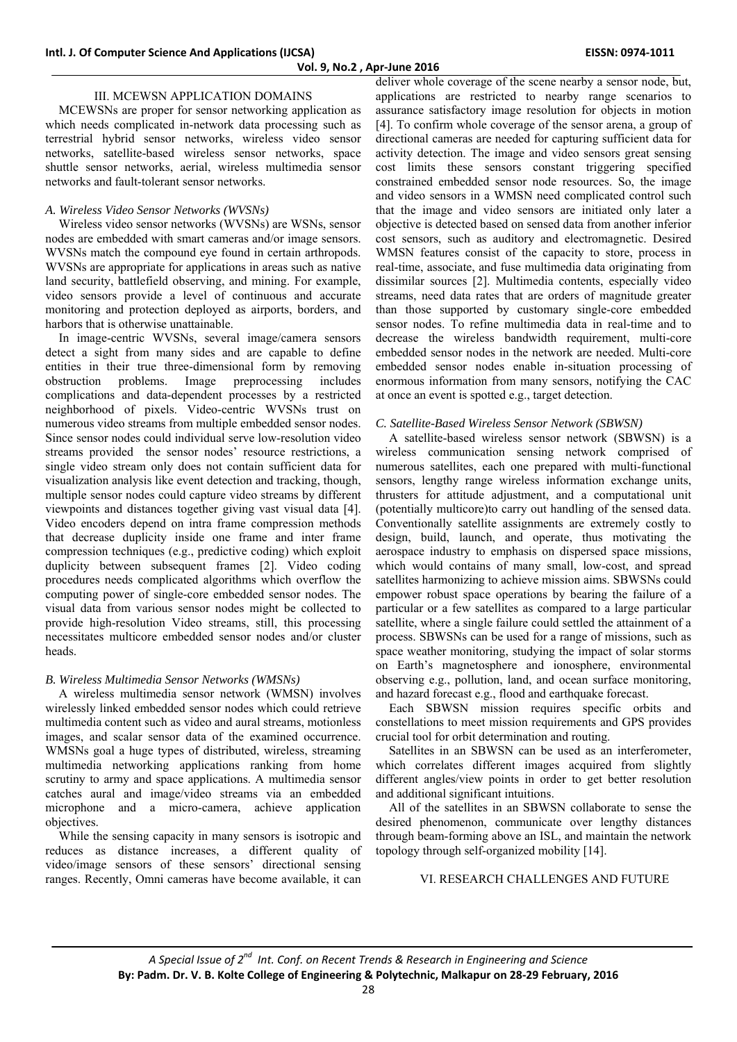# III. MCEWSN APPLICATION DOMAINS

MCEWSNs are proper for sensor networking application as which needs complicated in-network data processing such as terrestrial hybrid sensor networks, wireless video sensor networks, satellite-based wireless sensor networks, space shuttle sensor networks, aerial, wireless multimedia sensor networks and fault-tolerant sensor networks.

## *A. Wireless Video Sensor Networks (WVSNs)*

Wireless video sensor networks (WVSNs) are WSNs, sensor nodes are embedded with smart cameras and/or image sensors. WVSNs match the compound eye found in certain arthropods. WVSNs are appropriate for applications in areas such as native land security, battlefield observing, and mining. For example, video sensors provide a level of continuous and accurate monitoring and protection deployed as airports, borders, and harbors that is otherwise unattainable.

In image-centric WVSNs, several image/camera sensors detect a sight from many sides and are capable to define entities in their true three-dimensional form by removing obstruction problems. Image preprocessing includes complications and data-dependent processes by a restricted neighborhood of pixels. Video-centric WVSNs trust on numerous video streams from multiple embedded sensor nodes. Since sensor nodes could individual serve low-resolution video streams provided the sensor nodes' resource restrictions, a single video stream only does not contain sufficient data for visualization analysis like event detection and tracking, though, multiple sensor nodes could capture video streams by different viewpoints and distances together giving vast visual data [4]. Video encoders depend on intra frame compression methods that decrease duplicity inside one frame and inter frame compression techniques (e.g., predictive coding) which exploit duplicity between subsequent frames [2]. Video coding procedures needs complicated algorithms which overflow the computing power of single-core embedded sensor nodes. The visual data from various sensor nodes might be collected to provide high-resolution Video streams, still, this processing necessitates multicore embedded sensor nodes and/or cluster heads.

## *B. Wireless Multimedia Sensor Networks (WMSNs)*

A wireless multimedia sensor network (WMSN) involves wirelessly linked embedded sensor nodes which could retrieve multimedia content such as video and aural streams, motionless images, and scalar sensor data of the examined occurrence. WMSNs goal a huge types of distributed, wireless, streaming multimedia networking applications ranking from home scrutiny to army and space applications. A multimedia sensor catches aural and image/video streams via an embedded microphone and a micro-camera, achieve application objectives.

While the sensing capacity in many sensors is isotropic and reduces as distance increases, a different quality of video/image sensors of these sensors' directional sensing ranges. Recently, Omni cameras have become available, it can

deliver whole coverage of the scene nearby a sensor node, but, applications are restricted to nearby range scenarios to assurance satisfactory image resolution for objects in motion [4]. To confirm whole coverage of the sensor arena, a group of directional cameras are needed for capturing sufficient data for activity detection. The image and video sensors great sensing cost limits these sensors constant triggering specified constrained embedded sensor node resources. So, the image and video sensors in a WMSN need complicated control such that the image and video sensors are initiated only later a objective is detected based on sensed data from another inferior cost sensors, such as auditory and electromagnetic. Desired WMSN features consist of the capacity to store, process in real-time, associate, and fuse multimedia data originating from dissimilar sources [2]. Multimedia contents, especially video streams, need data rates that are orders of magnitude greater than those supported by customary single-core embedded sensor nodes. To refine multimedia data in real-time and to decrease the wireless bandwidth requirement, multi-core embedded sensor nodes in the network are needed. Multi-core embedded sensor nodes enable in-situation processing of enormous information from many sensors, notifying the CAC at once an event is spotted e.g., target detection.

## *C. Satellite-Based Wireless Sensor Network (SBWSN)*

A satellite-based wireless sensor network (SBWSN) is a wireless communication sensing network comprised of numerous satellites, each one prepared with multi-functional sensors, lengthy range wireless information exchange units, thrusters for attitude adjustment, and a computational unit (potentially multicore)to carry out handling of the sensed data. Conventionally satellite assignments are extremely costly to design, build, launch, and operate, thus motivating the aerospace industry to emphasis on dispersed space missions, which would contains of many small, low-cost, and spread satellites harmonizing to achieve mission aims. SBWSNs could empower robust space operations by bearing the failure of a particular or a few satellites as compared to a large particular satellite, where a single failure could settled the attainment of a process. SBWSNs can be used for a range of missions, such as space weather monitoring, studying the impact of solar storms on Earth's magnetosphere and ionosphere, environmental observing e.g., pollution, land, and ocean surface monitoring, and hazard forecast e.g., flood and earthquake forecast.

Each SBWSN mission requires specific orbits and constellations to meet mission requirements and GPS provides crucial tool for orbit determination and routing.

Satellites in an SBWSN can be used as an interferometer, which correlates different images acquired from slightly different angles/view points in order to get better resolution and additional significant intuitions.

All of the satellites in an SBWSN collaborate to sense the desired phenomenon, communicate over lengthy distances through beam-forming above an ISL, and maintain the network topology through self-organized mobility [14].

## VI. RESEARCH CHALLENGES AND FUTURE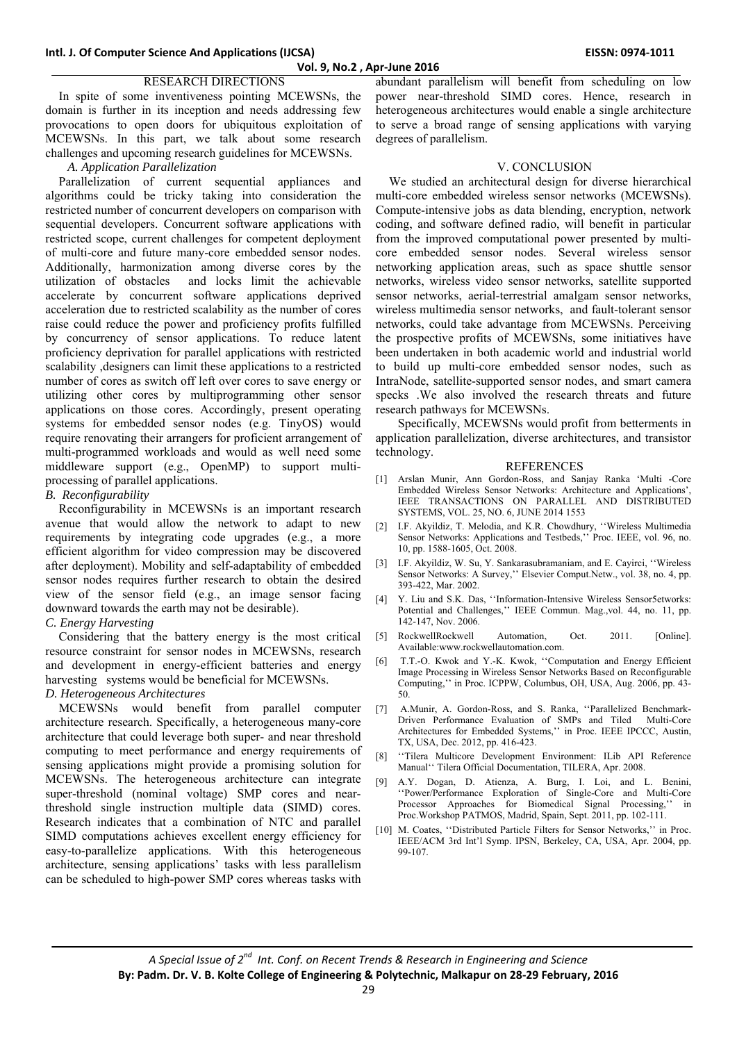# RESEARCH DIRECTIONS

In spite of some inventiveness pointing MCEWSNs, the domain is further in its inception and needs addressing few provocations to open doors for ubiquitous exploitation of MCEWSNs. In this part, we talk about some research challenges and upcoming research guidelines for MCEWSNs.

### *A. Application Parallelization*

Parallelization of current sequential appliances and algorithms could be tricky taking into consideration the restricted number of concurrent developers on comparison with sequential developers. Concurrent software applications with restricted scope, current challenges for competent deployment of multi-core and future many-core embedded sensor nodes. Additionally, harmonization among diverse cores by the utilization of obstacles and locks limit the achievable accelerate by concurrent software applications deprived acceleration due to restricted scalability as the number of cores raise could reduce the power and proficiency profits fulfilled by concurrency of sensor applications. To reduce latent proficiency deprivation for parallel applications with restricted scalability ,designers can limit these applications to a restricted number of cores as switch off left over cores to save energy or utilizing other cores by multiprogramming other sensor applications on those cores. Accordingly, present operating systems for embedded sensor nodes (e.g. TinyOS) would require renovating their arrangers for proficient arrangement of multi-programmed workloads and would as well need some middleware support (e.g., OpenMP) to support multiprocessing of parallel applications.

### *B. Reconfigurability*

Reconfigurability in MCEWSNs is an important research avenue that would allow the network to adapt to new requirements by integrating code upgrades (e.g., a more efficient algorithm for video compression may be discovered after deployment). Mobility and self-adaptability of embedded sensor nodes requires further research to obtain the desired view of the sensor field (e.g., an image sensor facing downward towards the earth may not be desirable).

# *C. Energy Harvesting*

Considering that the battery energy is the most critical resource constraint for sensor nodes in MCEWSNs, research and development in energy-efficient batteries and energy harvesting systems would be beneficial for MCEWSNs. *D. Heterogeneous Architectures* 

MCEWSNs would benefit from parallel computer architecture research. Specifically, a heterogeneous many-core architecture that could leverage both super- and near threshold computing to meet performance and energy requirements of sensing applications might provide a promising solution for MCEWSNs. The heterogeneous architecture can integrate super-threshold (nominal voltage) SMP cores and nearthreshold single instruction multiple data (SIMD) cores. Research indicates that a combination of NTC and parallel SIMD computations achieves excellent energy efficiency for easy-to-parallelize applications. With this heterogeneous architecture, sensing applications' tasks with less parallelism can be scheduled to high-power SMP cores whereas tasks with

abundant parallelism will benefit from scheduling on low power near-threshold SIMD cores. Hence, research in heterogeneous architectures would enable a single architecture to serve a broad range of sensing applications with varying degrees of parallelism.

## V. CONCLUSION

We studied an architectural design for diverse hierarchical multi-core embedded wireless sensor networks (MCEWSNs). Compute-intensive jobs as data blending, encryption, network coding, and software defined radio, will benefit in particular from the improved computational power presented by multicore embedded sensor nodes. Several wireless sensor networking application areas, such as space shuttle sensor networks, wireless video sensor networks, satellite supported sensor networks, aerial-terrestrial amalgam sensor networks, wireless multimedia sensor networks, and fault-tolerant sensor networks, could take advantage from MCEWSNs. Perceiving the prospective profits of MCEWSNs, some initiatives have been undertaken in both academic world and industrial world to build up multi-core embedded sensor nodes, such as IntraNode, satellite-supported sensor nodes, and smart camera specks .We also involved the research threats and future research pathways for MCEWSNs.

Specifically, MCEWSNs would profit from betterments in application parallelization, diverse architectures, and transistor technology.

#### REFERENCES

- [1] Arslan Munir, Ann Gordon-Ross, and Sanjay Ranka 'Multi -Core Embedded Wireless Sensor Networks: Architecture and Applications', IEEE TRANSACTIONS ON PARALLEL AND DISTRIBUTED SYSTEMS, VOL. 25, NO. 6, JUNE 2014 1553
- [2] I.F. Akyildiz, T. Melodia, and K.R. Chowdhury, ''Wireless Multimedia Sensor Networks: Applications and Testbeds,'' Proc. IEEE, vol. 96, no. 10, pp. 1588-1605, Oct. 2008.
- [3] I.F. Akyildiz, W. Su, Y. Sankarasubramaniam, and E. Cayirci, ''Wireless Sensor Networks: A Survey," Elsevier Comput.Netw., vol. 38, no. 4, pp. 393-422, Mar. 2002.
- [4] Y. Liu and S.K. Das, ''Information-Intensive Wireless Sensor5etworks: Potential and Challenges,'' IEEE Commun. Mag.,vol. 44, no. 11, pp. 142-147, Nov. 2006.
- [5] RockwellRockwell Automation, Oct. 2011. [Online]. Available:www.rockwellautomation.com.
- [6] T.T.-O. Kwok and Y.-K. Kwok, ''Computation and Energy Efficient Image Processing in Wireless Sensor Networks Based on Reconfigurable Computing,'' in Proc. ICPPW, Columbus, OH, USA, Aug. 2006, pp. 43- 50.
- [7] A.Munir, A. Gordon-Ross, and S. Ranka, ''Parallelized Benchmark-Driven Performance Evaluation of SMPs and Tiled Multi-Core Architectures for Embedded Systems,'' in Proc. IEEE IPCCC, Austin, TX, USA, Dec. 2012, pp. 416-423.
- [8] ''Tilera Multicore Development Environment: ILib API Reference Manual'' Tilera Official Documentation, TILERA, Apr. 2008.
- [9] A.Y. Dogan, D. Atienza, A. Burg, I. Loi, and L. Benini, ''Power/Performance Exploration of Single-Core and Multi-Core Processor Approaches for Biomedical Signal Processing,'' in Proc.Workshop PATMOS, Madrid, Spain, Sept. 2011, pp. 102-111.
- [10] M. Coates, ''Distributed Particle Filters for Sensor Networks,'' in Proc. IEEE/ACM 3rd Int'l Symp. IPSN, Berkeley, CA, USA, Apr. 2004, pp. 99-107.